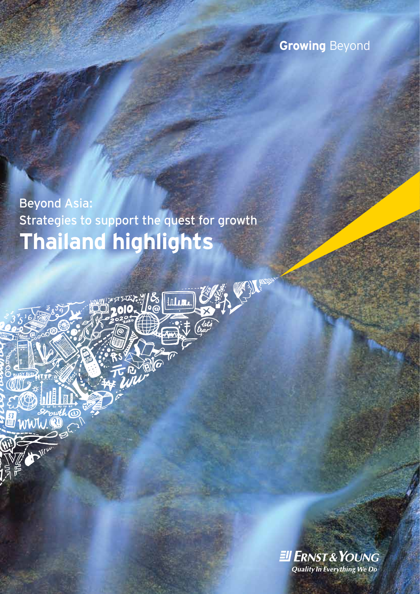## **Growing** Beyond

**Thailand highlights** Beyond Asia: Strategies to support the quest for growth

<sub>V</sub>EXXXXXY/S [IIII]<br>Ñ●OIO- 10@ [IIII]

「い間

unuh

**EII ERNST & YOUNG** Quality In Everything We Do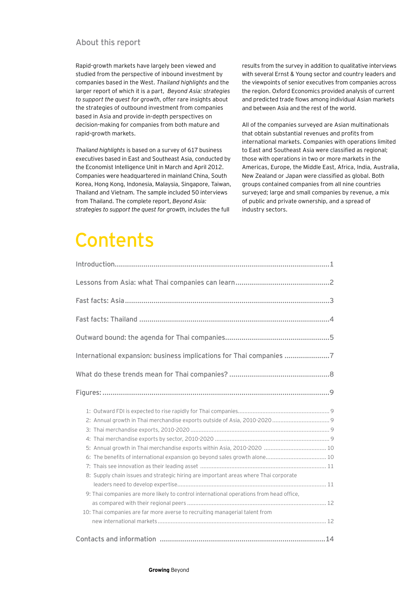### About this report

Rapid-growth markets have largely been viewed and studied from the perspective of inbound investment by companies based in the West. *Thailand highlights* and the larger report of which it is a part, *Beyond Asia: strategies to support the quest for growth*, offer rare insights about the strategies of outbound investment from companies based in Asia and provide in-depth perspectives on decision-making for companies from both mature and rapid-growth markets.

*Thailand highlights* is based on a survey of 617 business executives based in East and Southeast Asia, conducted by the Economist Intelligence Unit in March and April 2012. Companies were headquartered in mainland China, South Korea, Hong Kong, Indonesia, Malaysia, Singapore, Taiwan, Thailand and Vietnam. The sample included 50 interviews from Thailand. The complete report, *Beyond Asia: strategies to support the quest for growth*, includes the full

results from the survey in addition to qualitative interviews with several Ernst & Young sector and country leaders and the viewpoints of senior executives from companies across the region. Oxford Economics provided analysis of current and predicted trade flows among individual Asian markets and between Asia and the rest of the world.

All of the companies surveyed are Asian multinationals that obtain substantial revenues and profits from international markets. Companies with operations limited to East and Southeast Asia were classified as regional; those with operations in two or more markets in the Americas, Europe, the Middle East, Africa, India, Australia, New Zealand or Japan were classified as global. Both groups contained companies from all nine countries surveyed; large and small companies by revenue, a mix of public and private ownership, and a spread of industry sectors.

# **Contents**

| International expansion: business implications for Thai companies 7                     |  |
|-----------------------------------------------------------------------------------------|--|
|                                                                                         |  |
|                                                                                         |  |
|                                                                                         |  |
|                                                                                         |  |
| 6: The benefits of international expansion go beyond sales growth alone 10              |  |
| 8: Supply chain issues and strategic hiring are important areas where Thai corporate    |  |
| 9: Thai companies are more likely to control international operations from head office, |  |
| 10: Thai companies are far more averse to recruiting managerial talent from             |  |
|                                                                                         |  |
|                                                                                         |  |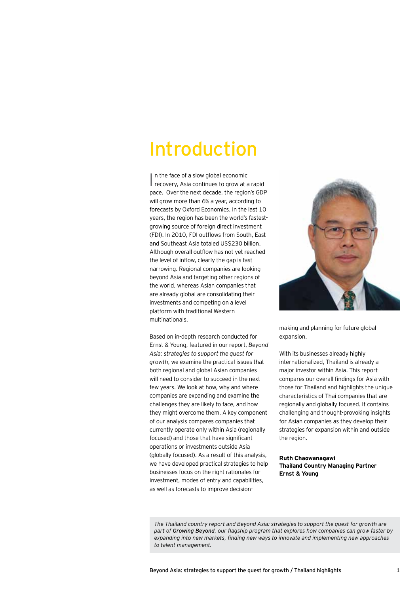## Introduction

In the face of a slow global economic<br>
recovery, Asia continues to grow at a rapid n the face of a slow global economic pace. Over the next decade, the region's GDP will grow more than 6% a year, according to forecasts by Oxford Economics. In the last 10 years, the region has been the world's fastestgrowing source of foreign direct investment (FDI). In 2010, FDI outflows from South, East and Southeast Asia totaled US\$230 billion. Although overall outflow has not yet reached the level of inflow, clearly the gap is fast narrowing. Regional companies are looking beyond Asia and targeting other regions of the world, whereas Asian companies that are already global are consolidating their investments and competing on a level platform with traditional Western multinationals.

Based on in-depth research conducted for Ernst & Young, featured in our report, *Beyond Asia: strategies to support the quest for growth*, we examine the practical issues that both regional and global Asian companies will need to consider to succeed in the next few years. We look at how, why and where companies are expanding and examine the challenges they are likely to face, and how they might overcome them. A key component of our analysis compares companies that currently operate only within Asia (regionally focused) and those that have significant operations or investments outside Asia (globally focused). As a result of this analysis, we have developed practical strategies to help businesses focus on the right rationales for investment, modes of entry and capabilities, as well as forecasts to improve decision-



making and planning for future global expansion.

With its businesses already highly internationalized, Thailand is already a major investor within Asia. This report compares our overall findings for Asia with those for Thailand and highlights the unique characteristics of Thai companies that are regionally and globally focused. It contains challenging and thought-provoking insights for Asian companies as they develop their strategies for expansion within and outside the region.

**Ruth Chaowanagawi Thailand Country Managing Partner Ernst & Young**

*The Thailand country report and Beyond Asia: strategies to support the quest for growth are part of Growing Beyond, our flagship program that explores how companies can grow faster by expanding into new markets, finding new ways to innovate and implementing new approaches to talent management.*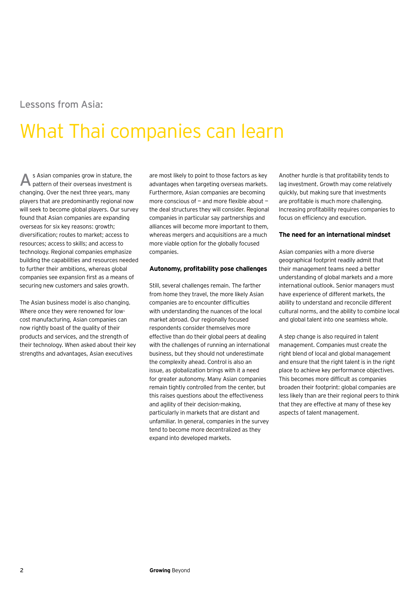## Lessons from Asia:

# What Thai companies can learn

s Asian companies grow in stature, the **A** S Asian companies grow in stature, the are most likely to point to those factors as key Another hurdle is that profitability tends to pattern of their overseas investment is advantages when targeting overseas markets. changing. Over the next three years, many players that are predominantly regional now will seek to become global players. Our survey found that Asian companies are expanding overseas for six key reasons: growth; diversification; routes to market; access to resources; access to skills; and access to technology. Regional companies emphasize building the capabilities and resources needed to further their ambitions, whereas global companies see expansion first as a means of securing new customers and sales growth.

The Asian business model is also changing. Where once they were renowned for lowcost manufacturing, Asian companies can now rightly boast of the quality of their products and services, and the strength of their technology. When asked about their key strengths and advantages, Asian executives

are most likely to point to those factors as key advantages when targeting overseas markets. Furthermore, Asian companies are becoming more conscious of — and more flexible about the deal structures they will consider. Regional companies in particular say partnerships and alliances will become more important to them, whereas mergers and acquisitions are a much more viable option for the globally focused companies.

#### **Autonomy, profitability pose challenges**

Still, several challenges remain. The farther from home they travel, the more likely Asian companies are to encounter difficulties with understanding the nuances of the local market abroad. Our regionally focused respondents consider themselves more effective than do their global peers at dealing with the challenges of running an international business, but they should not underestimate the complexity ahead. Control is also an issue, as globalization brings with it a need for greater autonomy. Many Asian companies remain tightly controlled from the center, but this raises questions about the effectiveness and agility of their decision-making, particularly in markets that are distant and unfamiliar. In general, companies in the survey tend to become more decentralized as they expand into developed markets.

lag investment. Growth may come relatively quickly, but making sure that investments are profitable is much more challenging. Increasing profitability requires companies to focus on efficiency and execution.

#### **The need for an international mindset**

Asian companies with a more diverse geographical footprint readily admit that their management teams need a better understanding of global markets and a more international outlook. Senior managers must have experience of different markets, the ability to understand and reconcile different cultural norms, and the ability to combine local and global talent into one seamless whole.

A step change is also required in talent management. Companies must create the right blend of local and global management and ensure that the right talent is in the right place to achieve key performance objectives. This becomes more difficult as companies broaden their footprint: global companies are less likely than are their regional peers to think that they are effective at many of these key aspects of talent management.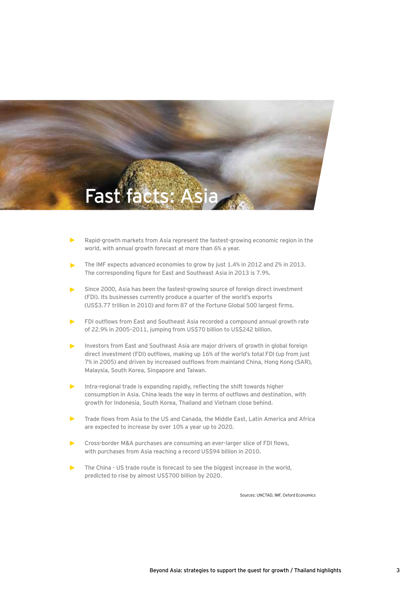

- **Rapid-growth markets from Asia represent the fastest-growing economic region in the world, with annual growth forecast at more than 6% a year.**
- **The IMF expects advanced economies to grow by just 1.4% in 2012 and 2% in 2013. The corresponding figure for East and Southeast Asia in 2013 is 7.9%.**
- **Since 2000, Asia has been the fastest-growing source of foreign direct investment (FDI). Its businesses currently produce a quarter of the world's exports (US\$3.77 trillion in 2010) and form 87 of the Fortune Global 500 largest firms.**
- **FDI outflows from East and Southeast Asia recorded a compound annual growth rate of 22.9% in 2005–2011, jumping from US\$70 billion to US\$242 billion.**
- **Investors from East and Southeast Asia are major drivers of growth in global foreign direct investment (FDI) outflows, making up 16% of the world's total FDI (up from just 7% in 2005) and driven by increased outflows from mainland China, Hong Kong (SAR), Malaysia, South Korea, Singapore and Taiwan.**
- **Intra-regional trade is expanding rapidly, reflecting the shift towards higher consumption in Asia. China leads the way in terms of outflows and destination, with growth for Indonesia, South Korea, Thailand and Vietnam close behind.**
- **Trade flows from Asia to the US and Canada, the Middle East, Latin America and Africa are expected to increase by over 10% a year up to 2020.**
- **Cross-border M&A purchases are consuming an ever-larger slice of FDI flows, with purchases from Asia reaching a record US\$94 billion in 2010.**
- **The China US trade route is forecast to see the biggest increase in the world, predicted to rise by almost US\$700 billion by 2020.**

Sources: UNCTAD, IMF, Oxford Economics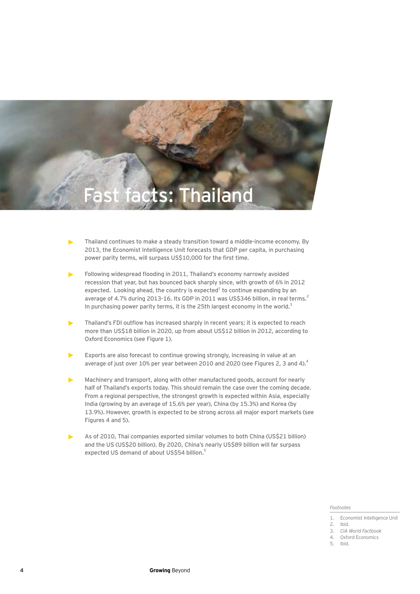

- **Thailand continues to make a steady transition toward a middle-income economy. By 2013, the Economist Intelligence Unit forecasts that GDP per capita, in purchasing power parity terms, will surpass US\$10,000 for the first time.**
- **Following widespread flooding in 2011, Thailand's economy narrowly avoided recession that year, but has bounced back sharply since, with growth of 6% in 2012**  expected. Looking ahead, the country is expected<sup>1</sup> to continue expanding by an average of 4.7% during 2013-16. Its GDP in 2011 was US\$346 billion, in real terms.<sup>2</sup> In purchasing power parity terms, it is the 25th largest economy in the world.<sup>3</sup>
- **Thailand's FDI outflow has increased sharply in recent years; it is expected to reach more than US\$18 billion in 2020, up from about US\$12 billion in 2012, according to Oxford Economics (see Figure 1).**
- **Exports are also forecast to continue growing strongly, increasing in value at an average of just over 10% per year between 2010 and 2020 (see Figures 2, 3 and 4).4**
- **Machinery and transport, along with other manufactured goods, account for nearly half of Thailand's exports today. This should remain the case over the coming decade. From a regional perspective, the strongest growth is expected within Asia, especially India (growing by an average of 15.6% per year), China (by 15.3%) and Korea (by 13.9%). However, growth is expected to be strong across all major export markets (see Figures 4 and 5).**
- **As of 2010, Thai companies exported similar volumes to both China (US\$21 billion) and the US (US\$20 billion). By 2020, China's nearly US\$89 billion will far surpass expected US demand of about US\$54 billion.5**

#### *Footnotes*

4. Oxford Economics 5. Ibid.

<sup>1.</sup> Economist Intelligence Unit

<sup>2.</sup> Ibid.

<sup>3.</sup> *CIA World Factbook*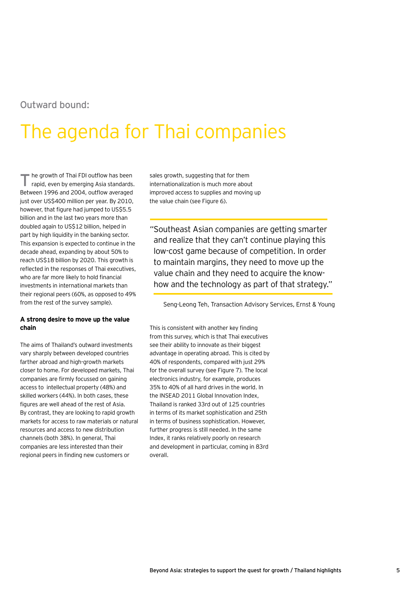## Outward bound:

# The agenda for Thai companies

he growth of Thai FDI outflow has been The growth of Thai FDI outflow has been sales growth, suggesting that for them<br>
rapid, even by emerging Asia standards. Internationalization is much more abou Between 1996 and 2004, outflow averaged just over US\$400 million per year. By 2010, however, that figure had jumped to US\$5.5 billion and in the last two years more than doubled again to US\$12 billion, helped in part by high liquidity in the banking sector. This expansion is expected to continue in the decade ahead, expanding by about 50% to reach US\$18 billion by 2020. This growth is reflected in the responses of Thai executives, who are far more likely to hold financial investments in international markets than their regional peers (60%, as opposed to 49% from the rest of the survey sample).

#### **A strong desire to move up the value chain**

The aims of Thailand's outward investments vary sharply between developed countries farther abroad and high-growth markets closer to home. For developed markets, Thai companies are firmly focussed on gaining access to intellectual property (48%) and skilled workers (44%). In both cases, these figures are well ahead of the rest of Asia. By contrast, they are looking to rapid growth markets for access to raw materials or natural resources and access to new distribution channels (both 38%). In general, Thai companies are less interested than their regional peers in finding new customers or

internationalization is much more about improved access to supplies and moving up the value chain (see Figure 6).

"Southeast Asian companies are getting smarter and realize that they can't continue playing this low-cost game because of competition. In order to maintain margins, they need to move up the value chain and they need to acquire the knowhow and the technology as part of that strategy."

Seng-Leong Teh, Transaction Advisory Services, Ernst & Young

This is consistent with another key finding from this survey, which is that Thai executives see their ability to innovate as their biggest advantage in operating abroad. This is cited by 40% of respondents, compared with just 29% for the overall survey (see Figure 7). The local electronics industry, for example, produces 35% to 40% of all hard drives in the world. In the INSEAD 2011 Global Innovation Index, Thailand is ranked 33rd out of 125 countries in terms of its market sophistication and 25th in terms of business sophistication. However, further progress is still needed. In the same Index, it ranks relatively poorly on research and development in particular, coming in 83rd overall.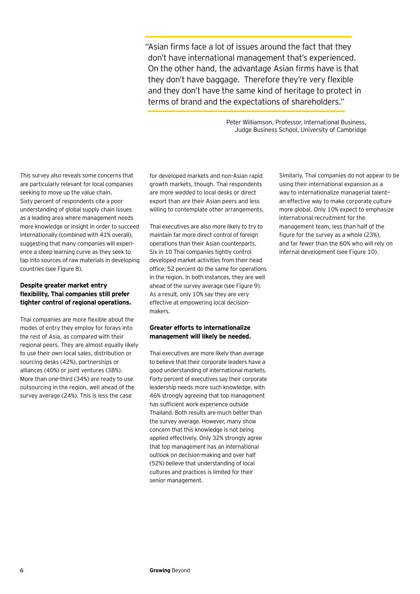"Asian firms face a lot of issues around the fact that they don't have international management that's experienced. On the other hand, the advantage Asian firms have is that they don't have baggage. Therefore they're very flexible and they don't have the same kind of heritage to protect in terms of brand and the expectations of shareholders."

> Peter Williamson, Professor, International Business, Judge Business School, University of Cambridge

This survey also reveals some concerns that are particularly relevant for local companies seeking to move up the value chain. Sixty percent of respondents cite a poor understanding of global supply chain issues as a leading area where management needs more knowledge or insight in order to succeed internationally (combined with 41% overall), suggesting that many companies will experience a steep learning curve as they seek to tap into sources of raw materials in developing countries (see Figure 8).

#### **Despite greater market entry flexibility, Thai companies still prefer tighter control of regional operations.**

Thai companies are more flexible about the modes of entry they employ for forays into the rest of Asia, as compared with their regional peers. They are almost equally likely to use their own local sales, distribution or sourcing desks (42%), partnerships or alliances (40%) or joint ventures (38%). More than one-third (34%) are ready to use outsourcing in the region, well ahead of the survey average (24%). This is less the case

for developed markets and non-Asian rapid growth markets, though. Thai respondents are more wedded to local desks or direct export than are their Asian peers and less willing to contemplate other arrangements.

Thai executives are also more likely to try to maintain far more direct control of foreign operations than their Asian counterparts. Six in 10 Thai companies tightly control developed market activities from their head office; 52 percent do the same for operations in the region. In both instances, they are well ahead of the survey average (see Figure 9). As a result, only 10% say they are very effective at empowering local decisionmakers.

#### **Greater efforts to internationalize management will likely be needed.**

Thai executives are more likely than average to believe that their corporate leaders have a good understanding of international markets. Forty percent of executives say their corporate leadership needs more such knowledge, with 46% strongly agreeing that top management has sufficient work experience outside Thailand. Both results are much better than the survey average. However, many show concern that this knowledge is not being applied effectively. Only 32% strongly agree that top management has an international outlook on decision-making and over half (52%) believe that understanding of local cultures and practices is limited for their senior management.

Similarly, Thai companies do not appear to be using their international expansion as a way to internationalize managerial talent an effective way to make corporate culture more global. Only 10% expect to emphasize international recruitment for the management team, less than half of the figure for the survey as a whole (23%), and far fewer than the 60% who will rely on internal development (see Figure 10).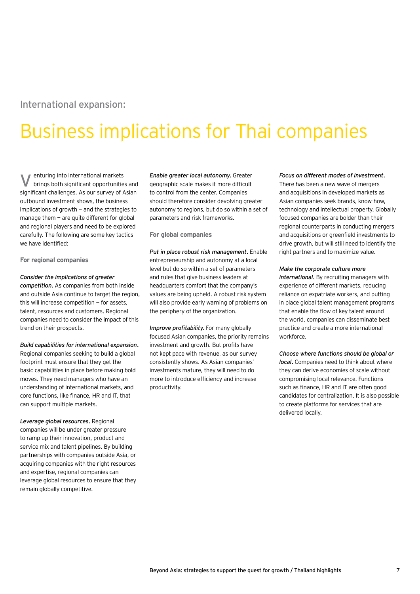### International expansion:

# Business implications for Thai companies

enturing into international markets **V** enturing into international markets **Enable greater local autonomy.** Greater brings both significant opportunities and geographic scale makes it more difficult significant challenges. As our survey of Asian outbound investment shows, the business implications of growth — and the strategies to manage them  $-$  are quite different for global and regional players and need to be explored carefully. The following are some key tactics we have identified:

**For regional companies**

#### *Consider the implications of greater*

*competition.* As companies from both inside and outside Asia continue to target the region, this will increase competition — for assets, talent, resources and customers. Regional companies need to consider the impact of this trend on their prospects.

*Build capabilities for international expansion.* 

Regional companies seeking to build a global footprint must ensure that they get the basic capabilities in place before making bold moves. They need managers who have an understanding of international markets, and core functions, like finance, HR and IT, that can support multiple markets.

*Leverage global resources.* Regional companies will be under greater pressure to ramp up their innovation, product and service mix and talent pipelines. By building partnerships with companies outside Asia, or acquiring companies with the right resources and expertise, regional companies can leverage global resources to ensure that they remain globally competitive.

geographic scale makes it more difficult to control from the center. Companies should therefore consider devolving greater autonomy to regions, but do so within a set of parameters and risk frameworks.

**For global companies**

*Put in place robust risk management.* Enable entrepreneurship and autonomy at a local level but do so within a set of parameters and rules that give business leaders at headquarters comfort that the company's values are being upheld. A robust risk system will also provide early warning of problems on the periphery of the organization.

*Improve profitability.* For many globally focused Asian companies, the priority remains investment and growth. But profits have not kept pace with revenue, as our survey consistently shows. As Asian companies' investments mature, they will need to do more to introduce efficiency and increase productivity.

#### *Focus on different modes of investment.*

There has been a new wave of mergers and acquisitions in developed markets as Asian companies seek brands, know-how, technology and intellectual property. Globally focused companies are bolder than their regional counterparts in conducting mergers and acquisitions or greenfield investments to drive growth, but will still need to identify the right partners and to maximize value.

#### *Make the corporate culture more*

*international.* By recruiting managers with experience of different markets, reducing reliance on expatriate workers, and putting in place global talent management programs that enable the flow of key talent around the world, companies can disseminate best practice and create a more international workforce.

*Choose where functions should be global or local.* Companies need to think about where they can derive economies of scale without compromising local relevance. Functions such as finance, HR and IT are often good candidates for centralization. It is also possible to create platforms for services that are delivered locally.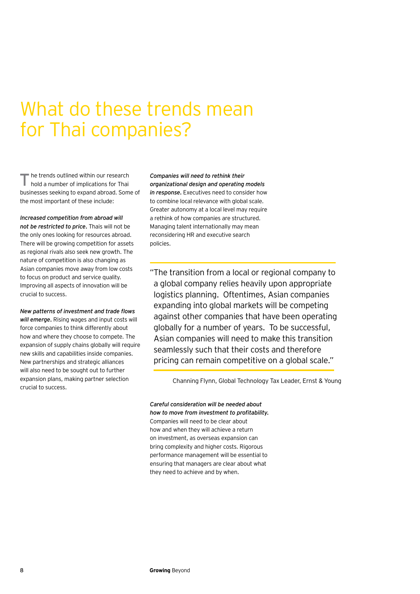## What do these trends mean for Thai companies?

he trends outlined within our research hold a number of implications for Thai businesses seeking to expand abroad. Some of the most important of these include: **T**

*Increased competition from abroad will not be restricted to price.* Thais will not be the only ones looking for resources abroad. There will be growing competition for assets as regional rivals also seek new growth. The nature of competition is also changing as Asian companies move away from low costs to focus on product and service quality. Improving all aspects of innovation will be crucial to success.

*New patterns of investment and trade flows will emerge.* Rising wages and input costs will force companies to think differently about how and where they choose to compete. The expansion of supply chains globally will require new skills and capabilities inside companies. New partnerships and strategic alliances will also need to be sought out to further expansion plans, making partner selection crucial to success.

*Companies will need to rethink their organizational design and operating models in response.* Executives need to consider how to combine local relevance with global scale. Greater autonomy at a local level may require a rethink of how companies are structured. Managing talent internationally may mean reconsidering HR and executive search policies.

"The transition from a local or regional company to a global company relies heavily upon appropriate logistics planning. Oftentimes, Asian companies expanding into global markets will be competing against other companies that have been operating globally for a number of years. To be successful, Asian companies will need to make this transition seamlessly such that their costs and therefore pricing can remain competitive on a global scale."

Channing Flynn, Global Technology Tax Leader, Ernst & Young

*Careful consideration will be needed about how to move from investment to profitability.*  Companies will need to be clear about how and when they will achieve a return on investment, as overseas expansion can bring complexity and higher costs. Rigorous performance management will be essential to ensuring that managers are clear about what they need to achieve and by when.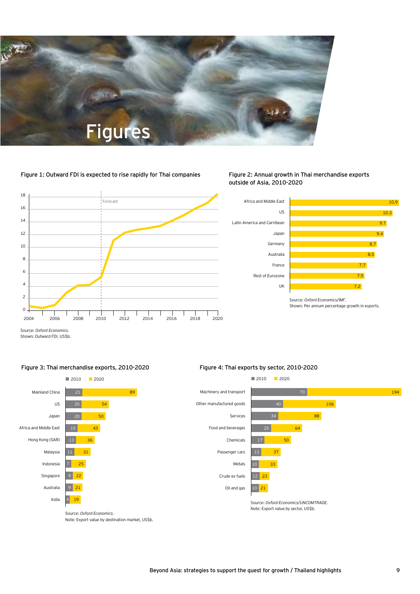

#### Figure 1: Outward FDI is expected to rise rapidly for Thai companies



Figure 2: Annual growth in Thai merchandise exports outside of Asia, 2010-2020



Shown: Per annum percentage growth in exports.

Source: *Oxford Economics.* Shown: Outward FDI, US\$b.



#### Figure 3: Thai merchandise exports, 2010-2020

### 2010 2020

Figure 4: Thai exports by sector, 2010-2020



Note: Export value by destination market, US\$b.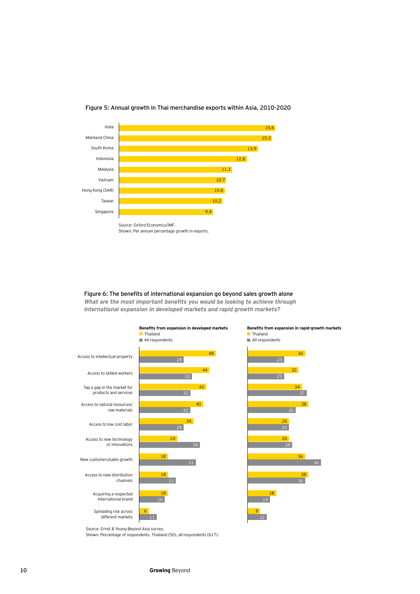

#### Figure 5: Annual growth in Thai merchandise exports within Asia, 2010-2020

Figure 6: The benefits of international expansion go beyond sales growth alone *What are the most important benefits you would be looking to achieve through* 

*international expansion in developed markets and rapid growth markets?*



Source: Ernst & Young *Beyond Asia* survey.

Shown: Percentage of respondents. Thailand (50), all respondents (617).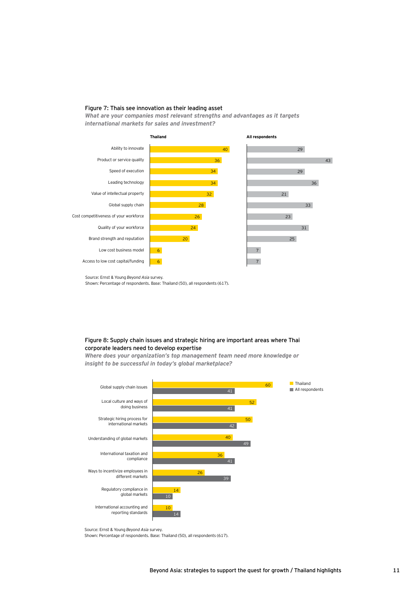#### Figure 7: Thais see innovation as their leading asset

*What are your companies most relevant strengths and advantages as it targets international markets for sales and investment?*



Source: Ernst & Young *Beyond Asia* survey.

Shown: Percentage of respondents. Base: Thailand (50), all respondents (617).

#### Figure 8: Supply chain issues and strategic hiring are important areas where Thai corporate leaders need to develop expertise

*Where does your organization's top management team need more knowledge or insight to be successful in today's global marketplace?*



Source: Ernst & Young *Beyond Asia* survey.

Shown: Percentage of respondents. Base: Thailand (50), all respondents (617).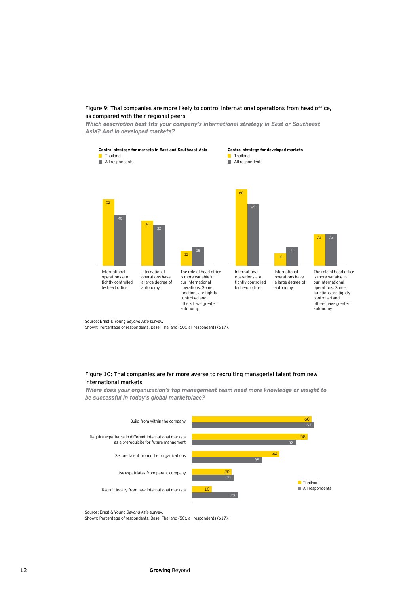#### Figure 9: Thai companies are more likely to control international operations from head office, as compared with their regional peers

*Which description best fits your company's international strategy in East or Southeast Asia? And in developed markets?*



Source: Ernst & Young *Beyond Asia* survey.

Shown: Percentage of respondents. Base: Thailand (50), all respondents (617).

#### Figure 10: Thai companies are far more averse to recruiting managerial talent from new international markets

*Where does your organization's top management team need more knowledge or insight to be successful in today's global marketplace?*



Source: Ernst & Young *Beyond Asia* survey.

Shown: Percentage of respondents. Base: Thailand (50), all respondents (617).